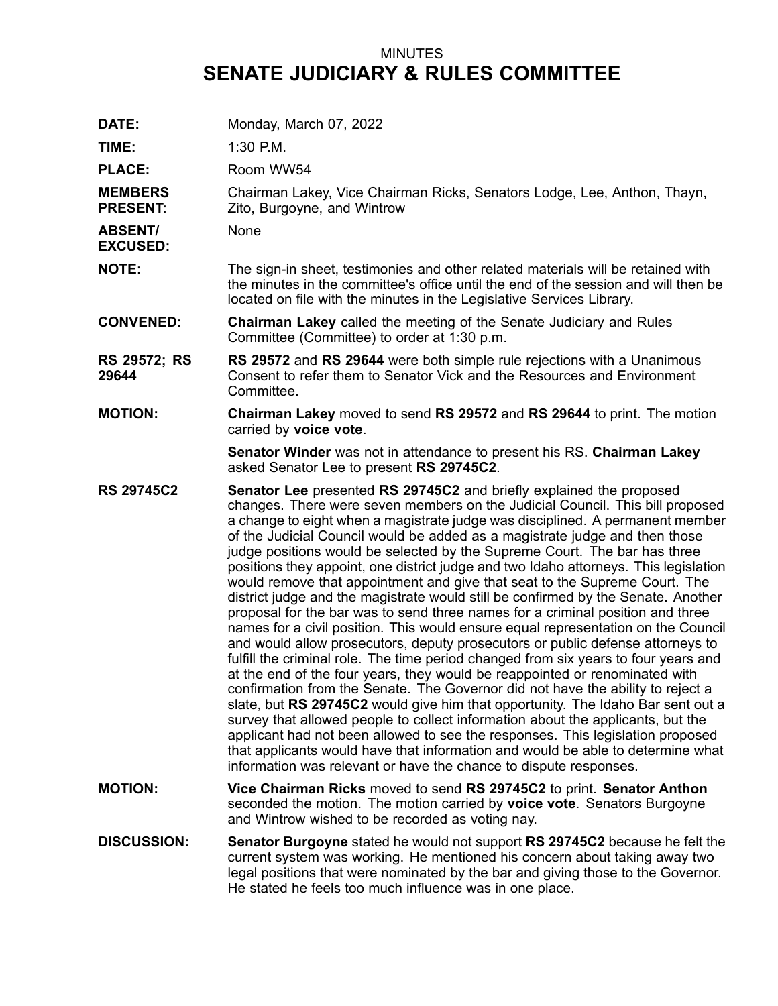## MINUTES **SENATE JUDICIARY & RULES COMMITTEE**

| DATE:                             | Monday, March 07, 2022                                                                                                                                                                                                                                                                                                                                                                                                                                                                                                                                                                                                                                                                                                                                                                                                                                                                                                                                                                                                                                                                                                                                                                                                                                                                                                                                                                                                                                                                                                                                                                         |
|-----------------------------------|------------------------------------------------------------------------------------------------------------------------------------------------------------------------------------------------------------------------------------------------------------------------------------------------------------------------------------------------------------------------------------------------------------------------------------------------------------------------------------------------------------------------------------------------------------------------------------------------------------------------------------------------------------------------------------------------------------------------------------------------------------------------------------------------------------------------------------------------------------------------------------------------------------------------------------------------------------------------------------------------------------------------------------------------------------------------------------------------------------------------------------------------------------------------------------------------------------------------------------------------------------------------------------------------------------------------------------------------------------------------------------------------------------------------------------------------------------------------------------------------------------------------------------------------------------------------------------------------|
| TIME:                             | 1:30 P.M.                                                                                                                                                                                                                                                                                                                                                                                                                                                                                                                                                                                                                                                                                                                                                                                                                                                                                                                                                                                                                                                                                                                                                                                                                                                                                                                                                                                                                                                                                                                                                                                      |
| <b>PLACE:</b>                     | Room WW54                                                                                                                                                                                                                                                                                                                                                                                                                                                                                                                                                                                                                                                                                                                                                                                                                                                                                                                                                                                                                                                                                                                                                                                                                                                                                                                                                                                                                                                                                                                                                                                      |
| <b>MEMBERS</b><br><b>PRESENT:</b> | Chairman Lakey, Vice Chairman Ricks, Senators Lodge, Lee, Anthon, Thayn,<br>Zito, Burgoyne, and Wintrow                                                                                                                                                                                                                                                                                                                                                                                                                                                                                                                                                                                                                                                                                                                                                                                                                                                                                                                                                                                                                                                                                                                                                                                                                                                                                                                                                                                                                                                                                        |
| <b>ABSENT/</b><br><b>EXCUSED:</b> | None                                                                                                                                                                                                                                                                                                                                                                                                                                                                                                                                                                                                                                                                                                                                                                                                                                                                                                                                                                                                                                                                                                                                                                                                                                                                                                                                                                                                                                                                                                                                                                                           |
| <b>NOTE:</b>                      | The sign-in sheet, testimonies and other related materials will be retained with<br>the minutes in the committee's office until the end of the session and will then be<br>located on file with the minutes in the Legislative Services Library.                                                                                                                                                                                                                                                                                                                                                                                                                                                                                                                                                                                                                                                                                                                                                                                                                                                                                                                                                                                                                                                                                                                                                                                                                                                                                                                                               |
| <b>CONVENED:</b>                  | <b>Chairman Lakey</b> called the meeting of the Senate Judiciary and Rules<br>Committee (Committee) to order at 1:30 p.m.                                                                                                                                                                                                                                                                                                                                                                                                                                                                                                                                                                                                                                                                                                                                                                                                                                                                                                                                                                                                                                                                                                                                                                                                                                                                                                                                                                                                                                                                      |
| <b>RS 29572; RS</b><br>29644      | RS 29572 and RS 29644 were both simple rule rejections with a Unanimous<br>Consent to refer them to Senator Vick and the Resources and Environment<br>Committee.                                                                                                                                                                                                                                                                                                                                                                                                                                                                                                                                                                                                                                                                                                                                                                                                                                                                                                                                                                                                                                                                                                                                                                                                                                                                                                                                                                                                                               |
| <b>MOTION:</b>                    | Chairman Lakey moved to send RS 29572 and RS 29644 to print. The motion<br>carried by voice vote.                                                                                                                                                                                                                                                                                                                                                                                                                                                                                                                                                                                                                                                                                                                                                                                                                                                                                                                                                                                                                                                                                                                                                                                                                                                                                                                                                                                                                                                                                              |
|                                   | Senator Winder was not in attendance to present his RS. Chairman Lakey<br>asked Senator Lee to present RS 29745C2.                                                                                                                                                                                                                                                                                                                                                                                                                                                                                                                                                                                                                                                                                                                                                                                                                                                                                                                                                                                                                                                                                                                                                                                                                                                                                                                                                                                                                                                                             |
| <b>RS 29745C2</b>                 | Senator Lee presented RS 29745C2 and briefly explained the proposed<br>changes. There were seven members on the Judicial Council. This bill proposed<br>a change to eight when a magistrate judge was disciplined. A permanent member<br>of the Judicial Council would be added as a magistrate judge and then those<br>judge positions would be selected by the Supreme Court. The bar has three<br>positions they appoint, one district judge and two Idaho attorneys. This legislation<br>would remove that appointment and give that seat to the Supreme Court. The<br>district judge and the magistrate would still be confirmed by the Senate. Another<br>proposal for the bar was to send three names for a criminal position and three<br>names for a civil position. This would ensure equal representation on the Council<br>and would allow prosecutors, deputy prosecutors or public defense attorneys to<br>fulfill the criminal role. The time period changed from six years to four years and<br>at the end of the four years, they would be reappointed or renominated with<br>confirmation from the Senate. The Governor did not have the ability to reject a<br>slate, but RS 29745C2 would give him that opportunity. The Idaho Bar sent out a<br>survey that allowed people to collect information about the applicants, but the<br>applicant had not been allowed to see the responses. This legislation proposed<br>that applicants would have that information and would be able to determine what<br>information was relevant or have the chance to dispute responses. |
| <b>MOTION:</b>                    | Vice Chairman Ricks moved to send RS 29745C2 to print. Senator Anthon<br>seconded the motion. The motion carried by voice vote. Senators Burgoyne<br>and Wintrow wished to be recorded as voting nay.                                                                                                                                                                                                                                                                                                                                                                                                                                                                                                                                                                                                                                                                                                                                                                                                                                                                                                                                                                                                                                                                                                                                                                                                                                                                                                                                                                                          |
| <b>DISCUSSION:</b>                | <b>Senator Burgoyne</b> stated he would not support RS 29745C2 because he felt the<br>current system was working. He mentioned his concern about taking away two<br>legal positions that were nominated by the bar and giving those to the Governor.<br>He stated he feels too much influence was in one place.                                                                                                                                                                                                                                                                                                                                                                                                                                                                                                                                                                                                                                                                                                                                                                                                                                                                                                                                                                                                                                                                                                                                                                                                                                                                                |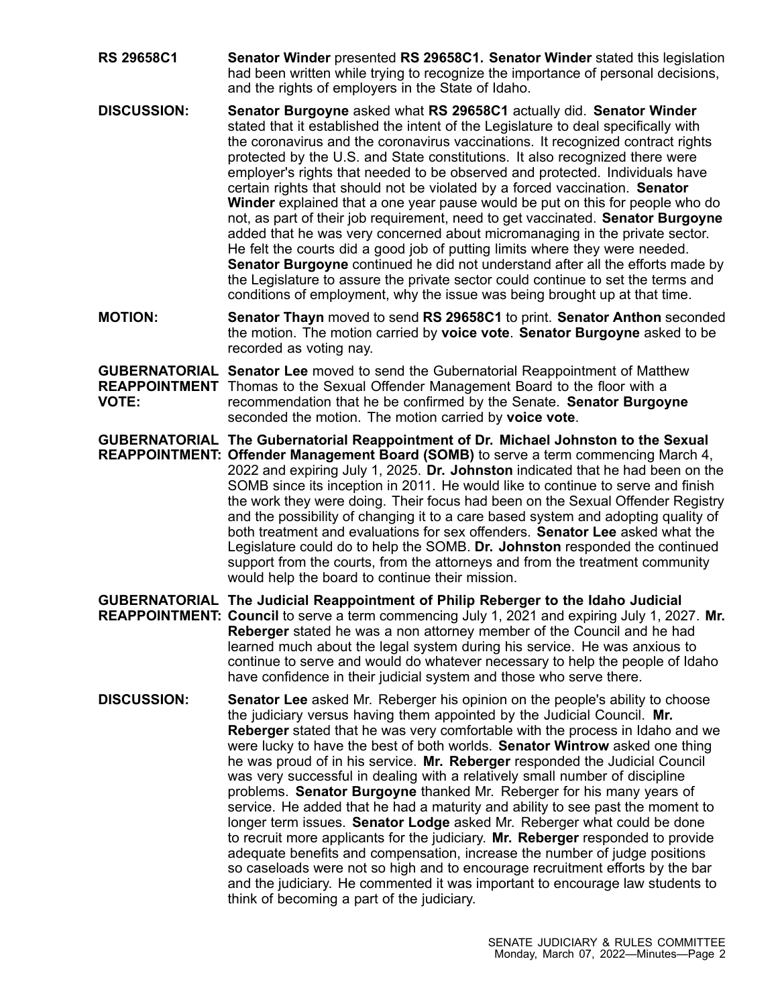- **RS 29658C1 Senator Winder** presented **RS 29658C1. Senator Winder** stated this legislation had been written while trying to recognize the importance of personal decisions, and the rights of employers in the State of Idaho.
- **DISCUSSION: Senator Burgoyne** asked what **RS 29658C1** actually did. **Senator Winder** stated that it established the intent of the Legislature to deal specifically with the coronavirus and the coronavirus vaccinations. It recognized contract rights protected by the U.S. and State constitutions. It also recognized there were employer's rights that needed to be observed and protected. Individuals have certain rights that should not be violated by <sup>a</sup> forced vaccination. **Senator Winder** explained that <sup>a</sup> one year pause would be put on this for people who do not, as part of their job requirement, need to get vaccinated. **Senator Burgoyne** added that he was very concerned about micromanaging in the private sector. He felt the courts did <sup>a</sup> good job of putting limits where they were needed. **Senator Burgoyne** continued he did not understand after all the efforts made by the Legislature to assure the private sector could continue to set the terms and conditions of employment, why the issue was being brought up at that time.
- **MOTION: Senator Thayn** moved to send **RS 29658C1** to print. **Senator Anthon** seconded the motion. The motion carried by **voice vote**. **Senator Burgoyne** asked to be recorded as voting nay.

**GUBERNATORIAL Senator Lee** moved to send the Gubernatorial Reappointment of Matthew **REAPPOINTMENT** Thomas to the Sexual Offender Management Board to the floor with <sup>a</sup> **VOTE:** recommendation that he be confirmed by the Senate. **Senator Burgoyne** seconded the motion. The motion carried by **voice vote**.

**GUBERNATORIAL The Gubernatorial Reappointment of Dr. Michael Johnston to the Sexual REAPPOINTMENT: Offender Management Board (SOMB)** to serve <sup>a</sup> term commencing March 4, 2022 and expiring July 1, 2025. **Dr. Johnston** indicated that he had been on the SOMB since its inception in 2011. He would like to continue to serve and finish the work they were doing. Their focus had been on the Sexual Offender Registry and the possibility of changing it to <sup>a</sup> care based system and adopting quality of both treatment and evaluations for sex offenders. **Senator Lee** asked what the Legislature could do to help the SOMB. **Dr. Johnston** responded the continued support from the courts, from the attorneys and from the treatment community would help the board to continue their mission.

- **GUBERNATORIAL The Judicial Reappointment of Philip Reberger to the Idaho Judicial REAPPOINTMENT: Council** to serve <sup>a</sup> term commencing July 1, 2021 and expiring July 1, 2027. **Mr. Reberger** stated he was <sup>a</sup> non attorney member of the Council and he had learned much about the legal system during his service. He was anxious to continue to serve and would do whatever necessary to help the people of Idaho have confidence in their judicial system and those who serve there.
- **DISCUSSION: Senator Lee** asked Mr. Reberger his opinion on the people's ability to choose the judiciary versus having them appointed by the Judicial Council. **Mr. Reberger** stated that he was very comfortable with the process in Idaho and we were lucky to have the best of both worlds. **Senator Wintrow** asked one thing he was proud of in his service. **Mr. Reberger** responded the Judicial Council was very successful in dealing with <sup>a</sup> relatively small number of discipline problems. **Senator Burgoyne** thanked Mr. Reberger for his many years of service. He added that he had <sup>a</sup> maturity and ability to see past the moment to longer term issues. **Senator Lodge** asked Mr. Reberger what could be done to recruit more applicants for the judiciary. **Mr. Reberger** responded to provide adequate benefits and compensation, increase the number of judge positions so caseloads were not so high and to encourage recruitment efforts by the bar and the judiciary. He commented it was important to encourage law students to think of becoming <sup>a</sup> part of the judiciary.